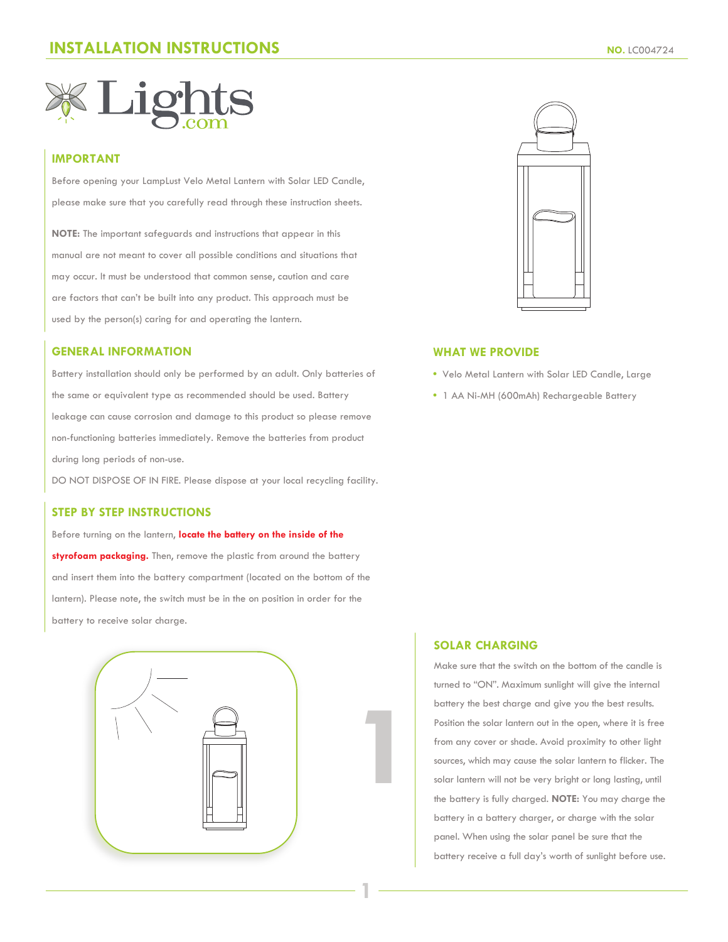

# **IMPORTANT**

Before opening your LampLust Velo Metal Lantern with Solar LED Candle, please make sure that you carefully read through these instruction sheets.

**NOTE:** The important safeguards and instructions that appear in this manual are not meant to cover all possible conditions and situations that may occur. It must be understood that common sense, caution and care are factors that can't be built into any product. This approach must be used by the person(s) caring for and operating the lantern.

#### **GENERAL INFORMATION**

Battery installation should only be performed by an adult. Only batteries of the same or equivalent type as recommended should be used. Battery leakage can cause corrosion and damage to this product so please remove non-functioning batteries immediately. Remove the batteries from product during long periods of non-use.

DO NOT DISPOSE OF IN FIRE. Please dispose at your local recycling facility.

## **STEP BY STEP INSTRUCTIONS**

Before turning on the lantern, **locate the battery on the inside of the styrofoam packaging.** Then, remove the plastic from around the battery and insert them into the battery compartment (located on the bottom of the lantern). Please note, the switch must be in the on position in order for the battery to receive solar charge.



**1**



#### **WHAT WE PROVIDE**

- Velo Metal Lantern with Solar LED Candle, Large
- 1 AA Ni-MH (600mAh) Rechargeable Battery

#### **SOLAR CHARGING**

Make sure that the switch on the bottom of the candle is turned to "ON". Maximum sunlight will give the internal battery the best charge and give you the best results. Position the solar lantern out in the open, where it is free from any cover or shade. Avoid proximity to other light sources, which may cause the solar lantern to flicker. The solar lantern will not be very bright or long lasting, until the battery is fully charged. **NOTE:** You may charge the battery in a battery charger, or charge with the solar panel. When using the solar panel be sure that the battery receive a full day's worth of sunlight before use.